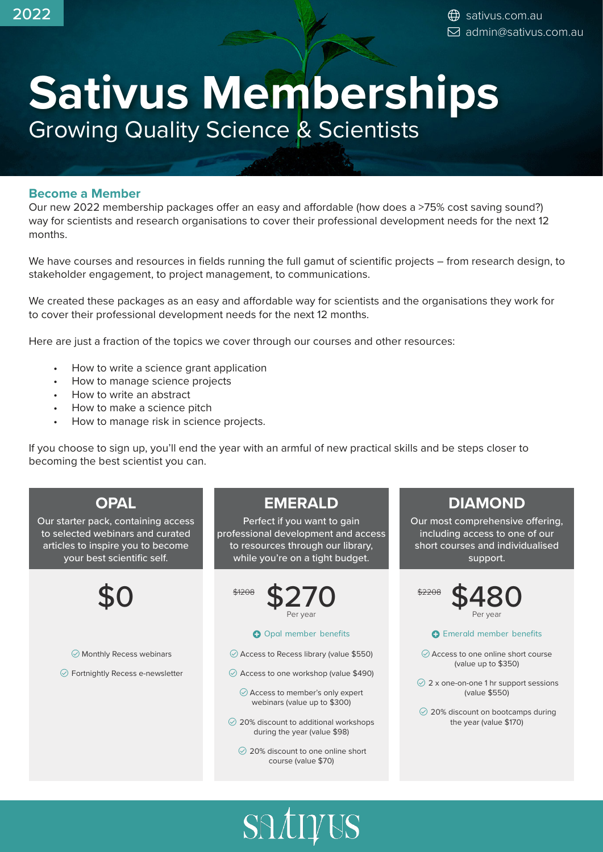# **Sativus Memberships** Growing Quality Science & Scientists

### **Become a Member**

Our new 2022 membership packages offer an easy and affordable (how does a >75% cost saving sound?) way for scientists and research organisations to cover their professional development needs for the next 12 months.

We have courses and resources in fields running the full gamut of scientific projects – from research design, to stakeholder engagement, to project management, to communications.

We created these packages as an easy and affordable way for scientists and the organisations they work for to cover their professional development needs for the next 12 months.

Here are just a fraction of the topics we cover through our courses and other resources:

- How to write a science grant application
- How to manage science projects
- How to write an abstract
- How to make a science pitch
- How to manage risk in science projects.

If you choose to sign up, you'll end the year with an armful of new practical skills and be steps closer to becoming the best scientist you can.

# **OPAL**

Our starter pack, containing access to selected webinars and curated articles to inspire you to become your best scientific self.



 $\oslash$  Monthly Recess webinars

 $\odot$  Fortnightly Recess e-newsletter

# **EMERALD**

Perfect if you want to gain professional development and access to resources through our library, while you're on a tight budget.



#### **O** Opal member benefits

 $\odot$  Access to Recess library (value \$550)

 $\odot$  Access to one workshop (value \$490)

 Access to member's only expert webinars (value up to \$300)

- $\odot$  20% discount to additional workshops during the year (value \$98)
	- $\oslash$  20% discount to one online short course (value \$70)

SATIVUS

# **DIAMOND**

Our most comprehensive offering, including access to one of our short courses and individualised support.



#### **O** Emerald member benefits

 Access to one online short course (value up to \$350)

 2 x one-on-one 1 hr support sessions (value \$550)

 20% discount on bootcamps during the year (value \$170)